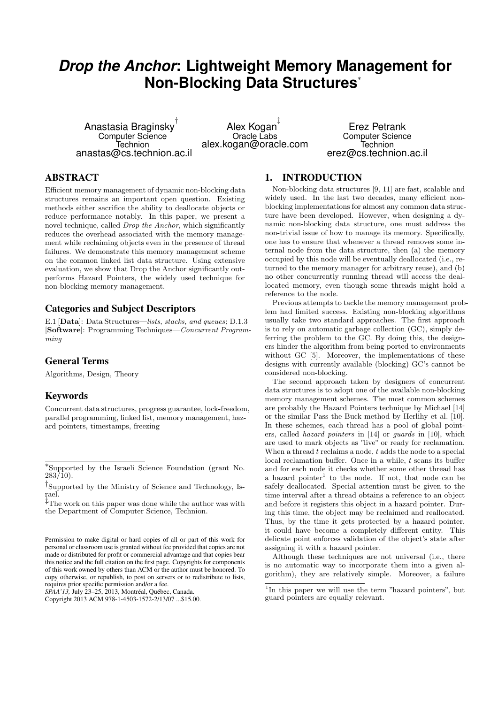# *Drop the Anchor***: Lightweight Memory Management for Non-Blocking Data Structures**<sup>∗</sup>

Anastasia Braginsky $^\dagger$ Computer Science Technion anastas@cs.technion.ac.il

Alex Kogan ‡ Oracle Labs alex.kogan@oracle.com

Erez Petrank Computer Science **Technion** erez@cs.technion.ac.il

# ABSTRACT

Efficient memory management of dynamic non-blocking data structures remains an important open question. Existing methods either sacrifice the ability to deallocate objects or reduce performance notably. In this paper, we present a novel technique, called *Drop the Anchor*, which significantly reduces the overhead associated with the memory management while reclaiming objects even in the presence of thread failures. We demonstrate this memory management scheme on the common linked list data structure. Using extensive evaluation, we show that Drop the Anchor significantly outperforms Hazard Pointers, the widely used technique for non-blocking memory management.

## Categories and Subject Descriptors

E.1 [Data]: Data Structures—lists, stacks, and queues; D.1.3 [Software]: Programming Techniques—Concurrent Programming

## General Terms

Algorithms, Design, Theory

## Keywords

Concurrent data structures, progress guarantee, lock-freedom, parallel programming, linked list, memory management, hazard pointers, timestamps, freezing

*SPAA'13,* July 23–25, 2013, Montréal, Québec, Canada.

## 1. INTRODUCTION

Non-blocking data structures [9, 11] are fast, scalable and widely used. In the last two decades, many efficient nonblocking implementations for almost any common data structure have been developed. However, when designing a dynamic non-blocking data structure, one must address the non-trivial issue of how to manage its memory. Specifically, one has to ensure that whenever a thread removes some internal node from the data structure, then (a) the memory occupied by this node will be eventually deallocated (i.e., returned to the memory manager for arbitrary reuse), and (b) no other concurrently running thread will access the deallocated memory, even though some threads might hold a reference to the node.

Previous attempts to tackle the memory management problem had limited success. Existing non-blocking algorithms usually take two standard approaches. The first approach is to rely on automatic garbage collection (GC), simply deferring the problem to the GC. By doing this, the designers hinder the algorithm from being ported to environments without GC [5]. Moreover, the implementations of these designs with currently available (blocking) GC's cannot be considered non-blocking.

The second approach taken by designers of concurrent data structures is to adopt one of the available non-blocking memory management schemes. The most common schemes are probably the Hazard Pointers technique by Michael [14] or the similar Pass the Buck method by Herlihy et al. [10]. In these schemes, each thread has a pool of global pointers, called hazard pointers in [14] or guards in [10], which are used to mark objects as "live" or ready for reclamation. When a thread  $t$  reclaims a node,  $t$  adds the node to a special local reclamation buffer. Once in a while, t scans its buffer and for each node it checks whether some other thread has a hazard pointer<sup>1</sup> to the node. If not, that node can be safely deallocated. Special attention must be given to the time interval after a thread obtains a reference to an object and before it registers this object in a hazard pointer. During this time, the object may be reclaimed and reallocated. Thus, by the time it gets protected by a hazard pointer, it could have become a completely different entity. This delicate point enforces validation of the object's state after assigning it with a hazard pointer.

Although these techniques are not universal (i.e., there is no automatic way to incorporate them into a given algorithm), they are relatively simple. Moreover, a failure

<sup>∗</sup> Supported by the Israeli Science Foundation (grant No.  $283/10$ ).

<sup>†</sup> Supported by the Ministry of Science and Technology, Israel.

<sup>‡</sup>The work on this paper was done while the author was with the Department of Computer Science, Technion.

Permission to make digital or hard copies of all or part of this work for personal or classroom use is granted without fee provided that copies are not made or distributed for profit or commercial advantage and that copies bear this notice and the full citation on the first page. Copyrights for components of this work owned by others than ACM or the author must be honored. To copy otherwise, or republish, to post on servers or to redistribute to lists, requires prior specific permission and/or a fee.

Copyright 2013 ACM 978-1-4503-1572-2/13/07 ...\$15.00.

<sup>&</sup>lt;sup>1</sup>In this paper we will use the term "hazard pointers", but guard pointers are equally relevant.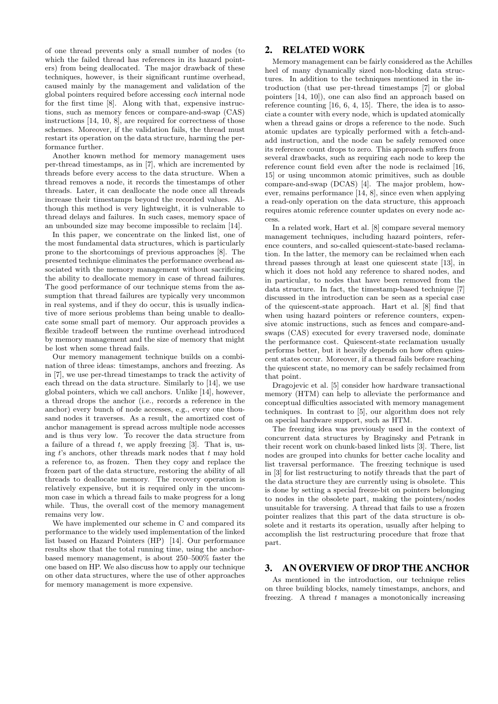of one thread prevents only a small number of nodes (to which the failed thread has references in its hazard pointers) from being deallocated. The major drawback of these techniques, however, is their significant runtime overhead, caused mainly by the management and validation of the global pointers required before accessing each internal node for the first time [8]. Along with that, expensive instructions, such as memory fences or compare-and-swap (CAS) instructions [14, 10, 8], are required for correctness of those schemes. Moreover, if the validation fails, the thread must restart its operation on the data structure, harming the performance further.

Another known method for memory management uses per-thread timestamps, as in [7], which are incremented by threads before every access to the data structure. When a thread removes a node, it records the timestamps of other threads. Later, it can deallocate the node once all threads increase their timestamps beyond the recorded values. Although this method is very lightweight, it is vulnerable to thread delays and failures. In such cases, memory space of an unbounded size may become impossible to reclaim [14].

In this paper, we concentrate on the linked list, one of the most fundamental data structures, which is particularly prone to the shortcomings of previous approaches [8]. The presented technique eliminates the performance overhead associated with the memory management without sacrificing the ability to deallocate memory in case of thread failures. The good performance of our technique stems from the assumption that thread failures are typically very uncommon in real systems, and if they do occur, this is usually indicative of more serious problems than being unable to deallocate some small part of memory. Our approach provides a flexible tradeoff between the runtime overhead introduced by memory management and the size of memory that might be lost when some thread fails.

Our memory management technique builds on a combination of three ideas: timestamps, anchors and freezing. As in [7], we use per-thread timestamps to track the activity of each thread on the data structure. Similarly to [14], we use global pointers, which we call anchors. Unlike [14], however, a thread drops the anchor (i.e., records a reference in the anchor) every bunch of node accesses, e.g., every one thousand nodes it traverses. As a result, the amortized cost of anchor management is spread across multiple node accesses and is thus very low. To recover the data structure from a failure of a thread  $t$ , we apply freezing  $[3]$ . That is, using  $t$ 's anchors, other threads mark nodes that  $t$  may hold a reference to, as frozen. Then they copy and replace the frozen part of the data structure, restoring the ability of all threads to deallocate memory. The recovery operation is relatively expensive, but it is required only in the uncommon case in which a thread fails to make progress for a long while. Thus, the overall cost of the memory management remains very low.

We have implemented our scheme in C and compared its performance to the widely used implementation of the linked list based on Hazard Pointers (HP) [14]. Our performance results show that the total running time, using the anchorbased memory management, is about 250–500% faster the one based on HP. We also discuss how to apply our technique on other data structures, where the use of other approaches for memory management is more expensive.

# 2. RELATED WORK

Memory management can be fairly considered as the Achilles heel of many dynamically sized non-blocking data structures. In addition to the techniques mentioned in the introduction (that use per-thread timestamps [7] or global pointers [14, 10]), one can also find an approach based on reference counting [16, 6, 4, 15]. There, the idea is to associate a counter with every node, which is updated atomically when a thread gains or drops a reference to the node. Such atomic updates are typically performed with a fetch-andadd instruction, and the node can be safely removed once its reference count drops to zero. This approach suffers from several drawbacks, such as requiring each node to keep the reference count field even after the node is reclaimed [16, 15] or using uncommon atomic primitives, such as double compare-and-swap (DCAS) [4]. The major problem, however, remains performance [14, 8], since even when applying a read-only operation on the data structure, this approach requires atomic reference counter updates on every node access.

In a related work, Hart et al. [8] compare several memory management techniques, including hazard pointers, reference counters, and so-called quiescent-state-based reclamation. In the latter, the memory can be reclaimed when each thread passes through at least one quiescent state [13], in which it does not hold any reference to shared nodes, and in particular, to nodes that have been removed from the data structure. In fact, the timestamp-based technique [7] discussed in the introduction can be seen as a special case of the quiescent-state approach. Hart et al. [8] find that when using hazard pointers or reference counters, expensive atomic instructions, such as fences and compare-andswaps (CAS) executed for every traversed node, dominate the performance cost. Quiescent-state reclamation usually performs better, but it heavily depends on how often quiescent states occur. Moreover, if a thread fails before reaching the quiescent state, no memory can be safely reclaimed from that point.

Dragojevic et al. [5] consider how hardware transactional memory (HTM) can help to alleviate the performance and conceptual difficulties associated with memory management techniques. In contrast to [5], our algorithm does not rely on special hardware support, such as HTM.

The freezing idea was previously used in the context of concurrent data structures by Braginsky and Petrank in their recent work on chunk-based linked lists [3]. There, list nodes are grouped into chunks for better cache locality and list traversal performance. The freezing technique is used in [3] for list restructuring to notify threads that the part of the data structure they are currently using is obsolete. This is done by setting a special freeze-bit on pointers belonging to nodes in the obsolete part, making the pointers/nodes unsuitable for traversing. A thread that fails to use a frozen pointer realizes that this part of the data structure is obsolete and it restarts its operation, usually after helping to accomplish the list restructuring procedure that froze that part.

## 3. AN OVERVIEW OF DROP THE ANCHOR

As mentioned in the introduction, our technique relies on three building blocks, namely timestamps, anchors, and freezing. A thread  $t$  manages a monotonically increasing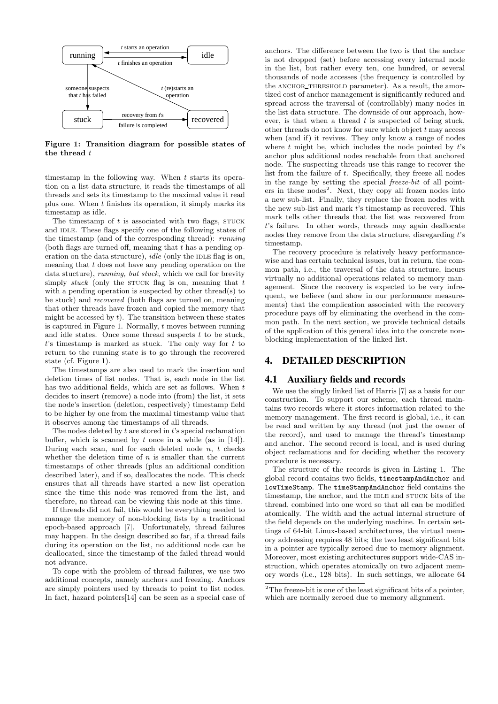

Figure 1: Transition diagram for possible states of the thread  $t$ 

timestamp in the following way. When  $t$  starts its operation on a list data structure, it reads the timestamps of all threads and sets its timestamp to the maximal value it read plus one. When t finishes its operation, it simply marks its timestamp as idle.

The timestamp of  $t$  is associated with two flags,  $STUCK$ and IDLE. These flags specify one of the following states of the timestamp (and of the corresponding thread): running (both flags are turned off, meaning that  $t$  has a pending operation on the data structure), *idle* (only the IDLE flag is on, meaning that t does not have any pending operation on the data stucture), running, but stuck, which we call for brevity simply stuck (only the STUCK flag is on, meaning that  $t$ with a pending operation is suspected by other thread(s) to be stuck) and recovered (both flags are turned on, meaning that other threads have frozen and copied the memory that might be accessed by  $t$ ). The transition between these states is captured in Figure 1. Normally,  $t$  moves between running and idle states. Once some thread suspects  $t$  to be stuck,  $t$ 's timestamp is marked as stuck. The only way for  $t$  to return to the running state is to go through the recovered state (cf. Figure 1).

The timestamps are also used to mark the insertion and deletion times of list nodes. That is, each node in the list has two additional fields, which are set as follows. When t decides to insert (remove) a node into (from) the list, it sets the node's insertion (deletion, respectively) timestamp field to be higher by one from the maximal timestamp value that it observes among the timestamps of all threads.

The nodes deleted by  $t$  are stored in  $t$ 's special reclamation buffer, which is scanned by t once in a while (as in  $[14]$ ). During each scan, and for each deleted node  $n, t$  checks whether the deletion time of  $n$  is smaller than the current timestamps of other threads (plus an additional condition described later), and if so, deallocates the node. This check ensures that all threads have started a new list operation since the time this node was removed from the list, and therefore, no thread can be viewing this node at this time.

If threads did not fail, this would be everything needed to manage the memory of non-blocking lists by a traditional epoch-based approach [7]. Unfortunately, thread failures may happen. In the design described so far, if a thread fails during its operation on the list, no additional node can be deallocated, since the timestamp of the failed thread would not advance.

To cope with the problem of thread failures, we use two additional concepts, namely anchors and freezing. Anchors are simply pointers used by threads to point to list nodes. In fact, hazard pointers[14] can be seen as a special case of

anchors. The difference between the two is that the anchor is not dropped (set) before accessing every internal node in the list, but rather every ten, one hundred, or several thousands of node accesses (the frequency is controlled by the ANCHOR\_THRESHOLD parameter). As a result, the amortized cost of anchor management is significantly reduced and spread across the traversal of (controllably) many nodes in the list data structure. The downside of our approach, however, is that when a thread  $t$  is suspected of being stuck, other threads do not know for sure which object  $t$  may access when (and if) it revives. They only know a range of nodes where  $t$  might be, which includes the node pointed by  $t$ 's anchor plus additional nodes reachable from that anchored node. The suspecting threads use this range to recover the list from the failure of  $t$ . Specifically, they freeze all nodes in the range by setting the special freeze-bit of all pointers in these nodes<sup>2</sup>. Next, they copy all frozen nodes into a new sub-list. Finally, they replace the frozen nodes with the new sub-list and mark t's timestamp as recovered. This mark tells other threads that the list was recovered from t's failure. In other words, threads may again deallocate nodes they remove from the data structure, disregarding  $t$ 's timestamp.

The recovery procedure is relatively heavy performancewise and has certain technical issues, but in return, the common path, i.e., the traversal of the data structure, incurs virtually no additional operations related to memory management. Since the recovery is expected to be very infrequent, we believe (and show in our performance measurements) that the complication associated with the recovery procedure pays off by eliminating the overhead in the common path. In the next section, we provide technical details of the application of this general idea into the concrete nonblocking implementation of the linked list.

## 4. DETAILED DESCRIPTION

## 4.1 Auxiliary fields and records

We use the singly linked list of Harris [7] as a basis for our construction. To support our scheme, each thread maintains two records where it stores information related to the memory management. The first record is global, i.e., it can be read and written by any thread (not just the owner of the record), and used to manage the thread's timestamp and anchor. The second record is local, and is used during object reclamations and for deciding whether the recovery procedure is necessary.

The structure of the records is given in Listing 1. The global record contains two fields, timestampAndAnchor and lowTimeStamp. The timeStampAndAnchor field contains the timestamp, the anchor, and the IDLE and STUCK bits of the thread, combined into one word so that all can be modified atomically. The width and the actual internal structure of the field depends on the underlying machine. In certain settings of 64-bit Linux-based architectures, the virtual memory addressing requires 48 bits; the two least significant bits in a pointer are typically zeroed due to memory alignment. Moreover, most existing architectures support wide-CAS instruction, which operates atomically on two adjacent memory words (i.e., 128 bits). In such settings, we allocate 64

<sup>&</sup>lt;sup>2</sup>The freeze-bit is one of the least significant bits of a pointer, which are normally zeroed due to memory alignment.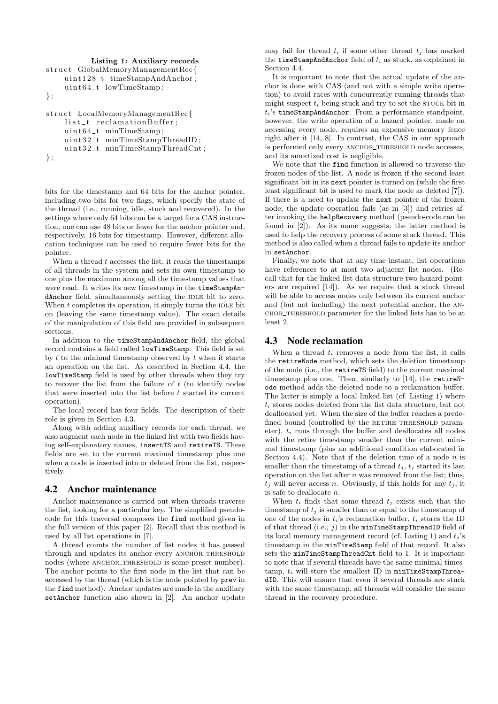```
Listing 1: Auxiliary records
struct GlobalMemoryManagementRec{
    uint128_t timeStampAndAnchor;
    uint64_t lowTimeStamp;;
\};
struct LocalMemoryManagementRec{
    list_t reclamationBuffer;
    uint64_t minTimeStamp;
```

```
uint32_t minTimeStampThreadID;
uint32_t minTimeStampThreadCnt;
```

```
} ;
```
bits for the timestamp and 64 bits for the anchor pointer, including two bits for two flags, which specify the state of the thread (i.e., running, idle, stuck and recovered). In the settings where only 64 bits can be a target for a CAS instruction, one can use 48 bits or fewer for the anchor pointer and, respectively, 16 bits for timestamp. However, different allocation techniques can be used to require fewer bits for the pointer.

When a thread  $t$  accesses the list, it reads the timestamps of all threads in the system and sets its own timestamp to one plus the maximum among all the timestamp values that were read. It writes its new timestamp in the timeStampAndAnchor field, simultaneously setting the IDLE bit to zero. When  $t$  completes its operation, it simply turns the IDLE bit on (leaving the same timestamp value). The exact details of the manipulation of this field are provided in subsequent sections.

In addition to the timeStampAndAnchor field, the global record contains a field called lowTimeStamp. This field is set by  $t$  to the minimal timestamp observed by  $t$  when it starts an operation on the list. As described in Section 4.4, the lowTimeStamp field is used by other threads when they try to recover the list from the failure of  $t$  (to identify nodes that were inserted into the list before t started its current operation).

The local record has four fields. The description of their role is given in Section 4.3.

Along with adding auxiliary records for each thread, we also augment each node in the linked list with two fields having self-explanatory names, insertTS and retireTS. These fields are set to the current maximal timestamp plus one when a node is inserted into or deleted from the list, respectively.

# 4.2 Anchor maintenance

Anchor maintenance is carried out when threads traverse the list, looking for a particular key. The simplified pseudocode for this traversal composes the find method given in the full version of this paper [2]. Recall that this method is used by all list operations in [7].

A thread counts the number of list nodes it has passed through and updates its anchor every ANCHOR\_THRESHOLD nodes (where ANCHOR\_THRESHOLD is some preset number). The anchor points to the first node in the list that can be accessed by the thread (which is the node pointed by prev in the find method). Anchor updates are made in the auxiliary setAnchor function also shown in [2]. An anchor update

may fail for thread  $t_i$  if some other thread  $t_i$  has marked the timeStampAndAnchor field of  $t_i$  as stuck, as explained in Section 4.4.

It is important to note that the actual update of the anchor is done with CAS (and not with a simple write operation) to avoid races with concurrently running threads that might suspect  $t_i$  being stuck and try to set the STUCK bit in  $t_i$ 's timeStampAndAnchor. From a performance standpoint, however, the write operation of a hazard pointer, made on accessing every node, requires an expensive memory fence right after it [14, 8]. In contrast, the CAS in our approach is performed only every ANCHOR\_THRESHOLD node accesses, and its amortized cost is negligible.

We note that the find function is allowed to traverse the frozen nodes of the list. A node is frozen if the second least significant bit in its next pointer is turned on (while the first least significant bit is used to mark the node as deleted [7]). If there is a need to update the next pointer of the frozen node, the update operation fails (as in [3]) and retries after invoking the helpRecovery method (pseudo-code can be found in [2]). As its name suggests, the latter method is used to help the recovery process of some stuck thread. This method is also called when a thread fails to update its anchor in setAnchor.

Finally, we note that at any time instant, list operations have references to at most two adjacent list nodes. (Recall that for the linked list data structure two hazard pointers are required [14]). As we require that a stuck thread will be able to access nodes only between its current anchor and (but not including) the next potential anchor, the an-CHOR\_THRESHOLD parameter for the linked lists has to be at least 2.

# 4.3 Node reclamation

When a thread  $t_i$  removes a node from the list, it calls the retireNode method, which sets the deletion timestamp of the node (i.e., the retireTS field) to the current maximal timestamp plus one. Then, similarly to [14], the retireNode method adds the deleted node to a reclamation buffer. The latter is simply a local linked list (cf. Listing 1) where  $t_i$  stores nodes deleted from the list data structure, but not deallocated yet. When the size of the buffer reaches a predefined bound (controlled by the RETIRE\_THRESHOLD parameter),  $t_i$  runs through the buffer and deallocates all nodes with the retire timestamp smaller than the current minimal timestamp (plus an additional condition elaborated in Section 4.4). Note that if the deletion time of a node  $n$  is smaller than the timestamp of a thread  $t_i$ ,  $t_i$  started its last operation on the list after  $n$  was removed from the list; thus,  $t_i$  will never access n. Obviously, if this holds for any  $t_i$ , it is safe to deallocate n.

When  $t_i$  finds that some thread  $t_j$  exists such that the timestamp of  $t_i$  is smaller than or equal to the timestamp of one of the nodes in  $t_i$ 's reclamation buffer,  $t_i$  stores the ID of that thread (i.e.,  $j$ ) in the minTimeStampThreadID field of its local memory management record (cf. Listing 1) and  $t_i$ 's timestamp in the minTimeStamp field of that record. It also sets the minTimeStampThreadCnt field to 1. It is important to note that if several threads have the same minimal timestamp,  $t_i$  will store the smallest ID in minTimeStampThreadID. This will ensure that even if several threads are stuck with the same timestamp, all threads will consider the same thread in the recovery procedure.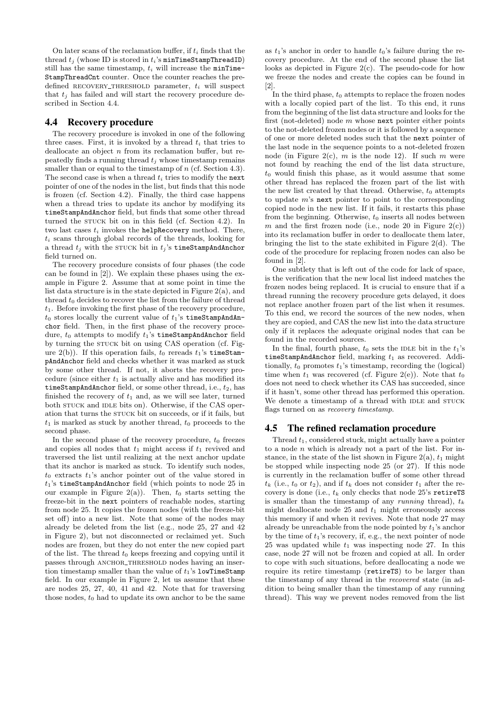On later scans of the reclamation buffer, if  $t_i$  finds that the thread  $t_j$  (whose ID is stored in  $t_i$ 's minTimeStampThreadID) still has the same timestamp,  $t_i$  will increase the minTime-StampThreadCnt counter. Once the counter reaches the predefined RECOVERY\_THRESHOLD parameter,  $t_i$  will suspect that  $t_j$  has failed and will start the recovery procedure described in Section 4.4.

## 4.4 Recovery procedure

The recovery procedure is invoked in one of the following three cases. First, it is invoked by a thread  $t_i$  that tries to deallocate an object  $n$  from its reclamation buffer, but repeatedly finds a running thread  $t_i$  whose timestamp remains smaller than or equal to the timestamp of  $n$  (cf. Section 4.3). The second case is when a thread  $t_i$  tries to modify the next pointer of one of the nodes in the list, but finds that this node is frozen (cf. Section 4.2). Finally, the third case happens when a thread tries to update its anchor by modifying its timeStampAndAnchor field, but finds that some other thread turned the STUCK bit on in this field (cf. Section 4.2). In two last cases  $t_i$  invokes the helpRecovery method. There,  $t_i$  scans through global records of the threads, looking for a thread  $t_i$  with the stuck bit in  $t_i$ 's timeStampAndAnchor field turned on.

The recovery procedure consists of four phases (the code can be found in [2]). We explain these phases using the example in Figure 2. Assume that at some point in time the list data structure is in the state depicted in Figure 2(a), and thread  $t_0$  decides to recover the list from the failure of thread  $t_1$ . Before invoking the first phase of the recovery procedure,  $t_0$  stores locally the current value of  $t_1$ 's timeStampAndAnchor field. Then, in the first phase of the recovery procedure,  $t_0$  attempts to modify  $t_1$ 's timeStampAndAnchor field by turning the STUCK bit on using CAS operation (cf. Figure 2(b)). If this operation fails,  $t_0$  rereads  $t_1$ 's timeStampAndAnchor field and checks whether it was marked as stuck by some other thread. If not, it aborts the recovery procedure (since either  $t_1$  is actually alive and has modified its timeStampAndAnchor field, or some other thread, i.e.,  $t_2$ , has finished the recovery of  $t_1$  and, as we will see later, turned both STUCK and IDLE bits on). Otherwise, if the CAS operation that turns the STUCK bit on succeeds, or if it fails, but  $t_1$  is marked as stuck by another thread,  $t_0$  proceeds to the second phase.

In the second phase of the recovery procedure,  $t_0$  freezes and copies all nodes that  $t_1$  might access if  $t_1$  revived and traversed the list until realizing at the next anchor update that its anchor is marked as stuck. To identify such nodes,  $t_0$  extracts  $t_1$ 's anchor pointer out of the value stored in  $t_1$  's  $\tt timeStampAndAnchor\ field$  (which points to node  $25$  in our example in Figure 2(a)). Then,  $t_0$  starts setting the freeze-bit in the next pointers of reachable nodes, starting from node 25. It copies the frozen nodes (with the freeze-bit set off) into a new list. Note that some of the nodes may already be deleted from the list (e.g., node 25, 27 and 42 in Figure 2), but not disconnected or reclaimed yet. Such nodes are frozen, but they do not enter the new copied part of the list. The thread  $t_0$  keeps freezing and copying until it passes through ANCHOR THRESHOLD nodes having an insertion timestamp smaller than the value of  $t_1$ 's lowTimeStamp field. In our example in Figure 2, let us assume that these are nodes 25, 27, 40, 41 and 42. Note that for traversing those nodes,  $t_0$  had to update its own anchor to be the same as  $t_1$ 's anchor in order to handle  $t_0$ 's failure during the recovery procedure. At the end of the second phase the list looks as depicted in Figure 2(c). The pseudo-code for how we freeze the nodes and create the copies can be found in [2].

In the third phase,  $t_0$  attempts to replace the frozen nodes with a locally copied part of the list. To this end, it runs from the beginning of the list data structure and looks for the first (not-deleted) node  $m$  whose next pointer either points to the not-deleted frozen nodes or it is followed by a sequence of one or more deleted nodes such that the next pointer of the last node in the sequence points to a not-deleted frozen node (in Figure 2(c), m is the node 12). If such m were not found by reaching the end of the list data structure,  $t_0$  would finish this phase, as it would assume that some other thread has replaced the frozen part of the list with the new list created by that thread. Otherwise,  $t_0$  attempts to update  $m$ 's next pointer to point to the corresponding copied node in the new list. If it fails, it restarts this phase from the beginning. Otherwise,  $t_0$  inserts all nodes between m and the first frozen node (i.e., node 20 in Figure  $2(c)$ ) into its reclamation buffer in order to deallocate them later, bringing the list to the state exhibited in Figure 2(d). The code of the procedure for replacing frozen nodes can also be found in [2].

One subtlety that is left out of the code for lack of space, is the verification that the new local list indeed matches the frozen nodes being replaced. It is crucial to ensure that if a thread running the recovery procedure gets delayed, it does not replace another frozen part of the list when it resumes. To this end, we record the sources of the new nodes, when they are copied, and CAS the new list into the data structure only if it replaces the adequate original nodes that can be found in the recorded sources.

In the final, fourth phase,  $t_0$  sets the IDLE bit in the  $t_1$ 's timeStampAndAnchor field, marking  $t_1$  as recovered. Additionally,  $t_0$  promotes  $t_1$ 's timestamp, recording the (logical) time when  $t_1$  was recovered (cf. Figure 2(e)). Note that  $t_0$ does not need to check whether its CAS has succeeded, since if it hasn't, some other thread has performed this operation. We denote a timestamp of a thread with IDLE and STUCK flags turned on as recovery timestamp.

## 4.5 The refined reclamation procedure

Thread  $t_1$ , considered stuck, might actually have a pointer to a node  $n$  which is already not a part of the list. For instance, in the state of the list shown in Figure 2(a),  $t_1$  might be stopped while inspecting node 25 (or 27). If this node is currently in the reclamation buffer of some other thread  $t_k$  (i.e.,  $t_0$  or  $t_2$ ), and if  $t_k$  does not consider  $t_1$  after the recovery is done (i.e.,  $t_k$  only checks that node 25's retireTS is smaller than the timestamp of any running thread),  $t_k$ might deallocate node 25 and  $t_1$  might erroneously access this memory if and when it revives. Note that node 27 may already be unreachable from the node pointed by  $t_1$ 's anchor by the time of  $t_1$ 's recovery, if, e.g., the next pointer of node 25 was updated while  $t_1$  was inspecting node 27. In this case, node 27 will not be frozen and copied at all. In order to cope with such situations, before deallocating a node we require its retire timestamp (retireTS) to be larger than the timestamp of any thread in the recovered state (in addition to being smaller than the timestamp of any running thread). This way we prevent nodes removed from the list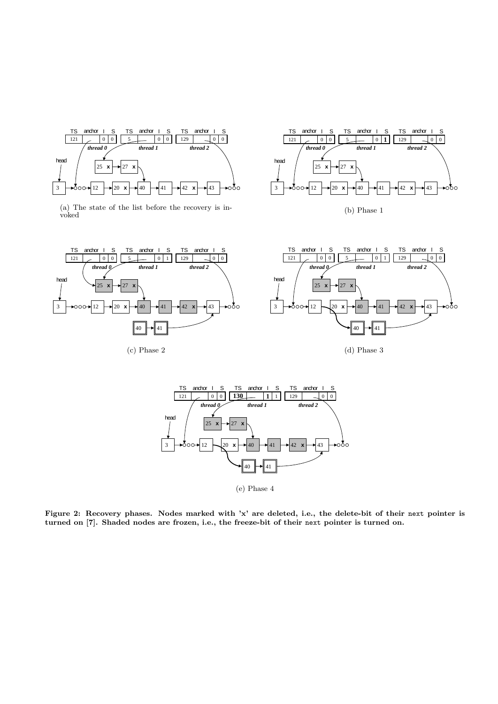

(a) The state of the list before the recovery is invoked



 $(b)$  Phase 1





(e) Phase 4

Figure 2: Recovery phases. Nodes marked with 'x' are deleted, i.e., the delete-bit of their next pointer is turned on [7]. Shaded nodes are frozen, i.e., the freeze-bit of their next pointer is turned on.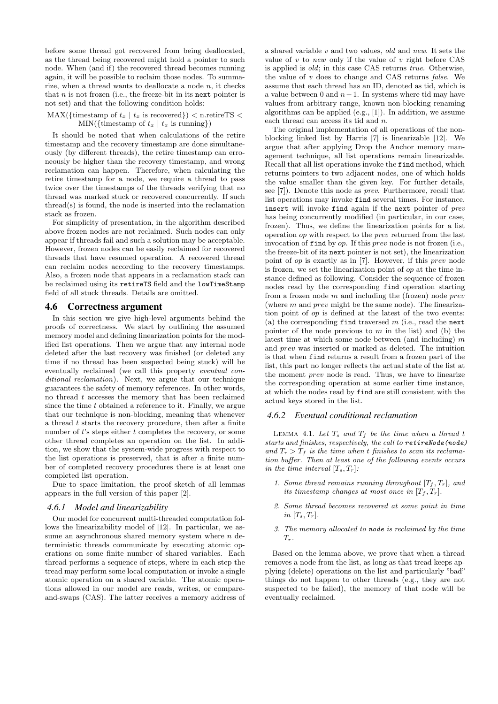before some thread got recovered from being deallocated, as the thread being recovered might hold a pointer to such node. When (and if) the recovered thread becomes running again, it will be possible to reclaim those nodes. To summarize, when a thread wants to deallocate a node  $n$ , it checks that  $n$  is not frozen (i.e., the freeze-bit in its next pointer is not set) and that the following condition holds:

MAX({\n timestamp of 
$$
t_x \mid t_x
$$
 is recovered}) < n.retrieTS < MIN({\n timestamp of  $t_x \mid t_x$  is running})

It should be noted that when calculations of the retire timestamp and the recovery timestamp are done simultaneously (by different threads), the retire timestamp can erroneously be higher than the recovery timestamp, and wrong reclamation can happen. Therefore, when calculating the retire timestamp for a node, we require a thread to pass twice over the timestamps of the threads verifying that no thread was marked stuck or recovered concurrently. If such thread(s) is found, the node is inserted into the reclamation stack as frozen.

For simplicity of presentation, in the algorithm described above frozen nodes are not reclaimed. Such nodes can only appear if threads fail and such a solution may be acceptable. However, frozen nodes can be easily reclaimed for recovered threads that have resumed operation. A recovered thread can reclaim nodes according to the recovery timestamps. Also, a frozen node that appears in a reclamation stack can be reclaimed using its retireTS field and the lowTimeStamp field of all stuck threads. Details are omitted.

## 4.6 Correctness argument

In this section we give high-level arguments behind the proofs of correctness. We start by outlining the assumed memory model and defining linearization points for the modified list operations. Then we argue that any internal node deleted after the last recovery was finished (or deleted any time if no thread has been suspected being stuck) will be eventually reclaimed (we call this property eventual conditional reclamation). Next, we argue that our technique guarantees the safety of memory references. In other words, no thread  $t$  accesses the memory that has been reclaimed since the time t obtained a reference to it. Finally, we argue that our technique is non-blocking, meaning that whenever a thread  $t$  starts the recovery procedure, then after a finite number of  $t$ 's steps either  $t$  completes the recovery, or some other thread completes an operation on the list. In addition, we show that the system-wide progress with respect to the list operations is preserved, that is after a finite number of completed recovery procedures there is at least one completed list operation.

Due to space limitation, the proof sketch of all lemmas appears in the full version of this paper [2].

#### *4.6.1 Model and linearizability*

Our model for concurrent multi-threaded computation follows the linearizability model of [12]. In particular, we assume an asynchronous shared memory system where  $n$  deterministic threads communicate by executing atomic operations on some finite number of shared variables. Each thread performs a sequence of steps, where in each step the tread may perform some local computation or invoke a single atomic operation on a shared variable. The atomic operations allowed in our model are reads, writes, or compareand-swaps (CAS). The latter receives a memory address of

a shared variable  $v$  and two values,  $old$  and new. It sets the value of  $v$  to new only if the value of  $v$  right before CAS is applied is old; in this case CAS returns true. Otherwise, the value of  $v$  does to change and CAS returns *false*. We assume that each thread has an ID, denoted as tid, which is a value between 0 and  $n-1$ . In systems where tid may have values from arbitrary range, known non-blocking renaming algorithms can be applied (e.g., [1]). In addition, we assume each thread can access its tid and n.

The original implementation of all operations of the nonblocking linked list by Harris [7] is linearizable [12]. We argue that after applying Drop the Anchor memory management technique, all list operations remain linearizable. Recall that all list operations invoke the find method, which returns pointers to two adjacent nodes, one of which holds the value smaller than the given key. For further details, see [7]). Denote this node as prev. Furthermore, recall that list operations may invoke find several times. For instance, insert will invoke find again if the next pointer of prev has being concurrently modified (in particular, in our case, frozen). Thus, we define the linearization points for a list operation op with respect to the prev returned from the last invocation of find by op. If this prev node is not frozen (i.e., the freeze-bit of its next pointer is not set), the linearization point of op is exactly as in [7]. However, if this prev node is frozen, we set the linearization point of  $op$  at the time instance defined as following. Consider the sequence of frozen nodes read by the corresponding find operation starting from a frozen node  $m$  and including the (frozen) node  $prev$ (where  $m$  and  $prev$  might be the same node). The linearization point of op is defined at the latest of the two events: (a) the corresponding find traversed  $m$  (i.e., read the next pointer of the node previous to  $m$  in the list) and (b) the latest time at which some node between (and including) m and prev was inserted or marked as deleted. The intuition is that when find returns a result from a frozen part of the list, this part no longer reflects the actual state of the list at the moment prev node is read. Thus, we have to linearize the corresponding operation at some earlier time instance, at which the nodes read by find are still consistent with the actual keys stored in the list.

## *4.6.2 Eventual conditional reclamation*

LEMMA 4.1. Let  $T_s$  and  $T_f$  be the time when a thread t starts and finishes, respectively, the call to retireNode(node) and  $T_r > T_f$  is the time when t finishes to scan its reclamation buffer. Then at least one of the following events occurs in the time interval  $[T_s, T_r]$ :

- 1. Some thread remains running throughout  $[T_f, T_r]$ , and its timestamp changes at most once in  $[T_f, T_r]$ .
- 2. Some thread becomes recovered at some point in time in  $[T_s, T_r]$ .
- 3. The memory allocated to node is reclaimed by the time  $T_{-}$

Based on the lemma above, we prove that when a thread removes a node from the list, as long as that tread keeps applying (delete) operations on the list and particularly "bad" things do not happen to other threads (e.g., they are not suspected to be failed), the memory of that node will be eventually reclaimed.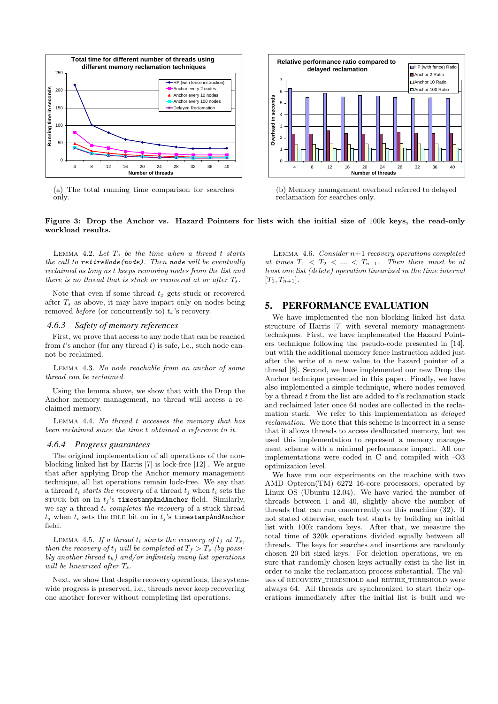

(a) The total running time comparison for searches only.



(b) Memory management overhead referred to delayed reclamation for searches only.

#### Figure 3: Drop the Anchor vs. Hazard Pointers for lists with the initial size of 100k keys, the read-only workload results.

LEMMA 4.2. Let  $T_s$  be the time when a thread t starts the call to retireNode(node). Then node will be eventually reclaimed as long as t keeps removing nodes from the list and there is no thread that is stuck or recovered at or after  $T_s$ .

Note that even if some thread  $t_x$  gets stuck or recovered after  $T_s$  as above, it may have impact only on nodes being removed before (or concurrently to)  $t_x$ 's recovery.

#### *4.6.3 Safety of memory references*

First, we prove that access to any node that can be reached from  $t$ 's anchor (for any thread  $t$ ) is safe, i.e., such node cannot be reclaimed.

Lemma 4.3. No node reachable from an anchor of some thread can be reclaimed.

Using the lemma above, we show that with the Drop the Anchor memory management, no thread will access a reclaimed memory.

LEMMA 4.4. No thread  $t$  accesses the memory that has been reclaimed since the time t obtained a reference to it.

#### *4.6.4 Progress guarantees*

The original implementation of all operations of the nonblocking linked list by Harris [7] is lock-free [12] . We argue that after applying Drop the Anchor memory management technique, all list operations remain lock-free. We say that a thread  $t_i$  starts the recovery of a thread  $t_i$  when  $t_i$  sets the STUCK bit on in  $t_i$ 's timestampAndAnchor field. Similarly, we say a thread  $t_i$  completes the recovery of a stuck thread  $t_i$  when  $t_i$  sets the IDLE bit on in  $t_i$ 's timestampAndAnchor field.

LEMMA 4.5. If a thread  $t_i$  starts the recovery of  $t_i$  at  $T_s$ , then the recovery of  $t_i$  will be completed at  $T_f > T_s$  (by possibly another thread  $t_k$ ) and/or infinitely many list operations will be linearized after  $T_s$ .

Next, we show that despite recovery operations, the systemwide progress is preserved, i.e., threads never keep recovering one another forever without completing list operations.

LEMMA 4.6. Consider  $n+1$  recovery operations completed at times  $T_1 \leq T_2 \leq \ldots \leq T_{n+1}$ . Then there must be at least one list (delete) operation linearized in the time interval  $[T_1, T_{n+1}].$ 

## 5. PERFORMANCE EVALUATION

We have implemented the non-blocking linked list data structure of Harris [7] with several memory management techniques. First, we have implemented the Hazard Pointers technique following the pseudo-code presented in [14], but with the additional memory fence instruction added just after the write of a new value to the hazard pointer of a thread [8]. Second, we have implemented our new Drop the Anchor technique presented in this paper. Finally, we have also implemented a simple technique, where nodes removed by a thread  $t$  from the list are added to  $t$ 's reclamation stack and reclaimed later once 64 nodes are collected in the reclamation stack. We refer to this implementation as delayed reclamation. We note that this scheme is incorrect in a sense that it allows threads to access deallocated memory, but we used this implementation to represent a memory management scheme with a minimal performance impact. All our implementations were coded in C and compiled with -O3 optimization level.

We have run our experiments on the machine with two AMD Opteron(TM) 6272 16-core processors, operated by Linux OS (Ubuntu 12.04). We have varied the number of threads between 1 and 40, slightly above the number of threads that can run concurrently on this machine (32). If not stated otherwise, each test starts by building an initial list with 100k random keys. After that, we measure the total time of 320k operations divided equally between all threads. The keys for searches and insertions are randomly chosen 20-bit sized keys. For deletion operations, we ensure that randomly chosen keys actually exist in the list in order to make the reclamation process substantial. The values of RECOVERY\_THRESHOLD and RETIRE\_THRESHOLD were always 64. All threads are synchronized to start their operations immediately after the initial list is built and we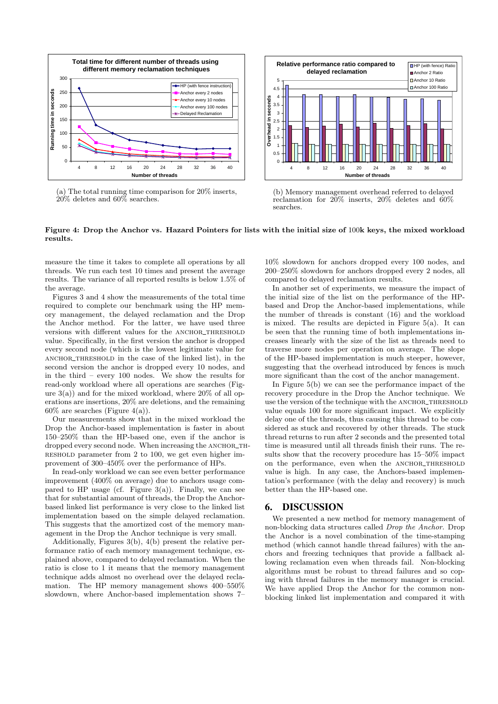

(a) The total running time comparison for 20% inserts, 20% deletes and 60% searches.



(b) Memory management overhead referred to delayed reclamation for 20% inserts, 20% deletes and 60% searches.

#### Figure 4: Drop the Anchor vs. Hazard Pointers for lists with the initial size of 100k keys, the mixed workload results.

measure the time it takes to complete all operations by all threads. We run each test 10 times and present the average results. The variance of all reported results is below 1.5% of the average.

Figures 3 and 4 show the measurements of the total time required to complete our benchmark using the HP memory management, the delayed reclamation and the Drop the Anchor method. For the latter, we have used three versions with different values for the ANCHOR THRESHOLD value. Specifically, in the first version the anchor is dropped every second node (which is the lowest legitimate value for ANCHOR THRESHOLD in the case of the linked list), in the second version the anchor is dropped every 10 nodes, and in the third – every 100 nodes. We show the results for read-only workload where all operations are searches (Figure  $3(a)$  and for the mixed workload, where  $20\%$  of all operations are insertions, 20% are deletions, and the remaining  $60\%$  are searches (Figure 4(a)).

Our measurements show that in the mixed workload the Drop the Anchor-based implementation is faster in about 150–250% than the HP-based one, even if the anchor is dropped every second node. When increasing the ANCHOR\_THreshold parameter from 2 to 100, we get even higher improvement of 300–450% over the performance of HPs.

In read-only workload we can see even better performance improvement (400% on average) due to anchors usage compared to HP usage (cf. Figure  $3(a)$ ). Finally, we can see that for substantial amount of threads, the Drop the Anchorbased linked list performance is very close to the linked list implementation based on the simple delayed reclamation. This suggests that the amortized cost of the memory management in the Drop the Anchor technique is very small.

Additionally, Figures 3(b), 4(b) present the relative performance ratio of each memory management technique, explained above, compared to delayed reclamation. When the ratio is close to 1 it means that the memory management technique adds almost no overhead over the delayed reclamation. The HP memory management shows 400–550% slowdown, where Anchor-based implementation shows 7–

10% slowdown for anchors dropped every 100 nodes, and 200–250% slowdown for anchors dropped every 2 nodes, all compared to delayed reclamation results.

In another set of experiments, we measure the impact of the initial size of the list on the performance of the HPbased and Drop the Anchor-based implementations, while the number of threads is constant (16) and the workload is mixed. The results are depicted in Figure 5(a). It can be seen that the running time of both implementations increases linearly with the size of the list as threads need to traverse more nodes per operation on average. The slope of the HP-based implementation is much steeper, however, suggesting that the overhead introduced by fences is much more significant than the cost of the anchor management.

In Figure 5(b) we can see the performance impact of the recovery procedure in the Drop the Anchor technique. We use the version of the technique with the ANCHOR\_THRESHOLD value equals 100 for more significant impact. We explicitly delay one of the threads, thus causing this thread to be considered as stuck and recovered by other threads. The stuck thread returns to run after 2 seconds and the presented total time is measured until all threads finish their runs. The results show that the recovery procedure has 15–50% impact on the performance, even when the ANCHOR THRESHOLD value is high. In any case, the Anchors-based implementation's performance (with the delay and recovery) is much better than the HP-based one.

## 6. DISCUSSION

We presented a new method for memory management of non-blocking data structures called Drop the Anchor. Drop the Anchor is a novel combination of the time-stamping method (which cannot handle thread failures) with the anchors and freezing techniques that provide a fallback allowing reclamation even when threads fail. Non-blocking algorithms must be robust to thread failures and so coping with thread failures in the memory manager is crucial. We have applied Drop the Anchor for the common nonblocking linked list implementation and compared it with